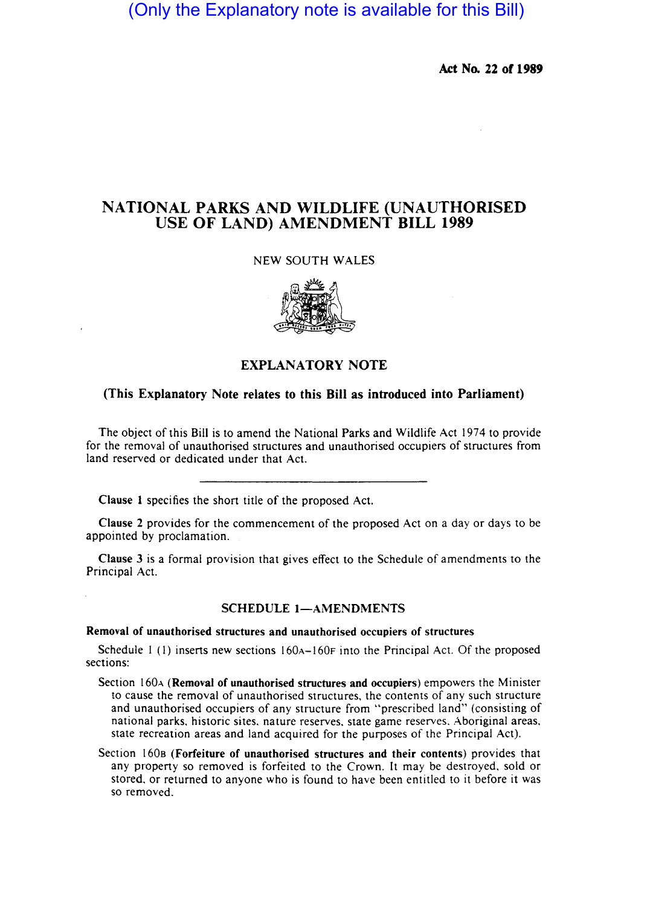# (Only the Explanatory note is available for this Bill)

Act No. 22 of 1989

## NATIONAL PARKS AND WILDLIFE (UNAUTHORISED USE OF LAND) AMENDMENT BILL 1989

### NEW SOUTH WALES



### EXPLANATORY NOTE

### (This Explanatory Note relates to this Bill as introduced into Parliament)

The object of this Bill is to amend the National Parks and Wildlife Act 1974 to provide for the removal of unauthorised structures and unauthorised occupiers of structures from land reserved or dedicated under that Act.

Clause 1 specifies the short title of the proposed Act.

Clause 2 provides for the commencement of the proposed Act on a day or days to be appointed by proclamation.

Clause 3 is a formal provision that gives effect to the Schedule of amendments to the Principal Act.

### SCHEDULE 1-AMENDMENTS

Removal of unauthorised structures and unauthorised occupiers of structures

Schedule  $1$  (1) inserts new sections  $160A-160F$  into the Principal Act. Of the proposed sections:

- Section 160<sub>A</sub> (Removal of unauthorised structures and occupiers) empowers the Minister to cause the removal of unauthorised structures, the contents of any such structure and unauthorised occupiers of any structure from "prescribed land" (consisting of national parks, historic sites. nature reserves, state game reserves, Aboriginal areas, state recreation areas and land acquired for the purposes of the Principal Act).
- Section 160s (Forfeiture of unauthorised structures and their contents) provides that any property so removed is forfeited to the Crown. It may be destroyed, sold or stored, or returned to anyone who is found to have been entitled to it before it was so removed.